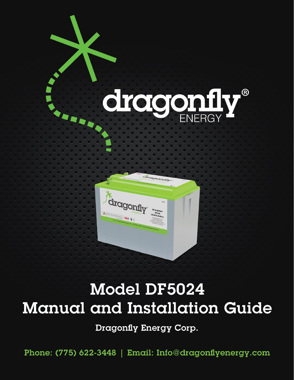

# Model DF5024 **Manual and Installation Guide**

Dragonfly Energy Corp.

Phone: (775) 622-3448 | Email: Info@dragonflyenergy.com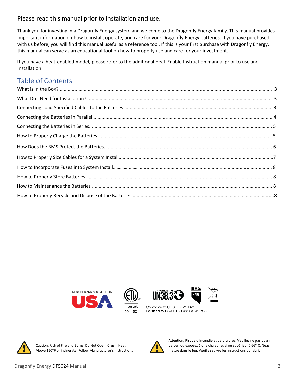## Please read this manual prior to installation and use.

Thank you for investing in a Dragonfly Energy system and welcome to the Dragonfly Energy family. This manual provides important information on how to install, operate, and care for your Dragonfly Energy batteries. If you have purchased with us before, you will find this manual useful as a reference tool. If this is your first purchase with Dragonfly Energy, this manual can serve as an educational tool on how to properly use and care for your investment.

If you have a heat-enabled model, please refer to the additional Heat-Enable Instruction manual prior to use and installation.

## Table of Contents









NEVADA

**MANE** 

Conforms to UL STD 62133-2 Certified to CSA STD C22.2# 62133-2



Above 150ºF or incinerate. Follow Manufacturer's Instructions mettre dans le feu. Veuillez suivre les instructions du fabric



 Attention, Risque d'incendie et de brulures. Veuillez ne pas ouvrir, Caution: Risk of Fire and Burns. Do Not Open, Crush, Heat percer, ou exposez à une chaleur égal ou supérieur à 66º C. Neas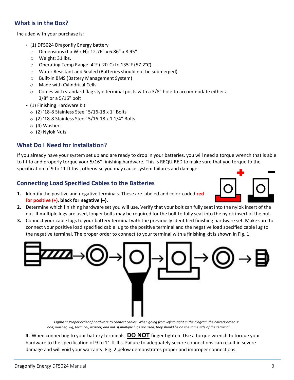## **What is in the Box?**

Included with your purchase is:

- (1) DF5024 Dragonfly Energy battery
	- $\circ$  Dimensions (L x W x H): 12.76" x 6.86" x 8.95"
	- o Weight: 31 lbs.
	- o Operating Temp Range: 4°F (-20°C) to 135°F (57.2°C)
	- o Water Resistant and Sealed (Batteries should not be submerged)
	- o Built-in BMS (Battery Management System)
	- o Made with Cylindrical Cells
	- $\circ$  Comes with standard flag style terminal posts with a 3/8" hole to accommodate either a 3/8" or a 5/16" bolt
- (1) Finishing Hardware Kit
	- $\circ$  (2) '18-8 Stainless Steel' 5/16-18 x 1" Bolts
	- o (2) '18-8 Stainless Steel' 5/16-18 x 1 1/4" Bolts
	- o (4) Washers
	- o (2) Nylok Nuts

## **What Do I Need for Installation?**

If you already have your system set up and are ready to drop in your batteries, you will need a torque wrench that is able to fit to and properly torque your 5/16" finishing hardware. This is REQUIRED to make sure that you torque to the specification of 9 to 11 ft-lbs., otherwise you may cause system failures and damage.

## **Connecting Load Specified Cables to the Batteries**

**1.** Identify the positive and negative terminals. These are labeled and color-coded **red for positive (+)**, **black for negative (–).**



- **2.** Determine which finishing hardware set you will use. Verify that your bolt can fully seat into the nylok insert of the nut. If multiple lugs are used, longer bolts may be required for the bolt to fully seat into the nylok insert of the nut.
- **3.** Connect your cable lugs to your battery terminal with the previously identified finishing hardware set. Make sure to connect your positive load specified cable lug to the positive terminal and the negative load specified cable lug to the negative terminal. The proper order to connect to your terminal with a finishing kit is shown in Fig. 1.



 *Figure 1: Proper order of hardware to connect cables. When going from left to right in the diagram the correct order is: bolt, washer, lug, terminal, washer, and nut. If multiple lugs are used, they should be on the same side of the terminal.*

**4.** When connecting to your battery terminals, **DO NOT** finger tighten. Use a torque wrench to torque your hardware to the specification of 9 to 11 ft-lbs. Failure to adequately secure connections can result in severe damage and will void your warranty. Fig. 2 below demonstrates proper and improper connections.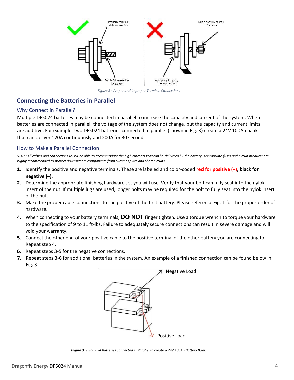

*Figure 2: Proper and Improper Terminal Connections*

## **Connecting the Batteries in Parallel**

#### Why Connect in Parallel?

Multiple DF5024 batteries may be connected in parallel to increase the capacity and current of the system. When batteries are connected in parallel, the voltage of the system does not change, but the capacity and current limits are additive. For example, two DF5024 batteries connected in parallel (shown in Fig. 3) create a 24V 100Ah bank that can deliver 120A continuously and 200A for 30 seconds.

#### How to Make a Parallel Connection

*NOTE: All cables and connections MUST be able to accommodate the high currents that can be delivered by the battery. Appropriate fuses and circuit breakers are highly recommended to protect downstream components from current spikes and short circuits.* 

- **1.** Identify the positive and negative terminals. These are labeled and color-coded **red for positive (+)**, **black for negative (–).**
- **2.** Determine the appropriate finishing hardware set you will use. Verify that your bolt can fully seat into the nylok insert of the nut. If multiple lugs are used, longer bolts may be required for the bolt to fully seat into the nylok insert of the nut.
- **3.** Make the proper cable connections to the positive of the first battery. Please reference Fig. 1 for the proper order of hardware.
- **4.** When connecting to your battery terminals, **DO NOT** finger tighten. Use a torque wrench to torque your hardware to the specification of 9 to 11 ft-lbs. Failure to adequately secure connections can result in severe damage and will void your warranty.
- **5.** Connect the other end of your positive cable to the positive terminal of the other battery you are connecting to. Repeat step 4.
- **6.** Repeat steps 3-5 for the negative connections.
- **7.** Repeat steps 3-6 for additional batteries in the system. An example of a finished connection can be found below in Fig. 3.



*Figure 3: Two 5024 Batteries connected in Parallel to create a 24V 100Ah Battery Bank*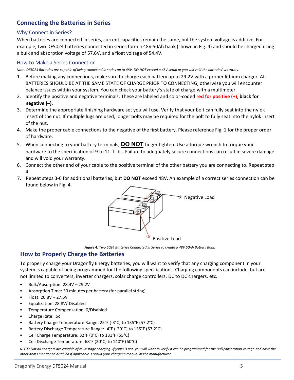## **Connecting the Batteries in Series**

#### Why Connect in Series?

When batteries are connected in series, current capacities remain the same, but the system voltage is additive. For example, two DF5024 batteries connected in series form a 48V 50Ah bank (shown in Fig. 4) and should be charged using a bulk and absorption voltage of 57.6V, and a float voltage of 54.4V.

#### How to Make a Series Connection

*Note: DF5024 Batteries are capable of being connected in series up to 48V. DO NOT exceed a 48V setup or you will void the batteries' warranty*.

- 1. Before making any connections, make sure to charge each battery up to 29.2V with a proper lithium charger. ALL BATTERIES SHOULD BE AT THE SAME STATE OF CHARGE PRIOR TO CONNECTING, otherwise you will encounter balance issues within your system. You can check your battery's state of charge with a multimeter.
- 2. Identify the positive and negative terminals. These are labeled and color-coded **red for positive (+)**, **black for negative (–).**
- 3. Determine the appropriate finishing hardware set you will use. Verify that your bolt can fully seat into the nylok insert of the nut. If multiple lugs are used, longer bolts may be required for the bolt to fully seat into the nylok insert of the nut.
- 4. Make the proper cable connections to the negative of the first battery. Please reference Fig. 1 for the proper order of hardware.
- 5. When connecting to your battery terminals, **DO NOT** finger tighten. Use a torque wrench to torque your hardware to the specification of 9 to 11 ft-lbs. Failure to adequately secure connections can result in severe damage and will void your warranty.
- 6. Connect the other end of your cable to the positive terminal of the other battery you are connecting to. Repeat step 4.
- 7. Repeat steps 3-6 for additional batteries, but **DO NOT** exceed 48V. An example of a correct series connection can be found below in Fig. 4.



*Figure 4: Two 5024 Batteries Connected in Series to create a 48V 50Ah Battery Bank*

## **How to Properly Charge the Batteries**

To properly charge your Dragonfly Energy batteries, you will want to verify that any charging component in your system is capable of being programmed for the following specifications. Charging components can include, but are not limited to converters, inverter chargers, solar charge controllers, DC to DC chargers, etc.

- Bulk/Absorption: 28.4V 29.2V
- Absorption Time: 30 minutes per battery (for parallel string)
- Float: 26.8V 27.6V
- Equalization: 28.8V/ Disabled
- Temperature Compensation: 0/Disabled
- Charge Rate: .5c
- Battery Charge Temperature Range: 25°F (-3°C) to 135°F (57.2°C)
- Battery Discharge Temperature Range: -4°F (-20°C) to 135°F (57.2°C)
- Cell Charge Temperature: 32°F (0°C) to 131°F (55°C)
- Cell Discharge Temperature: 68°F (20°C) to 140°F (60°C)

*NOTE: Not all chargers are capable of multistage charging. If yours is not, you will want to verify it can be programmed for the Bulk/Absorption voltage and have the other items mentioned disabled if applicable. Consult your charger's manual or the manufacturer.*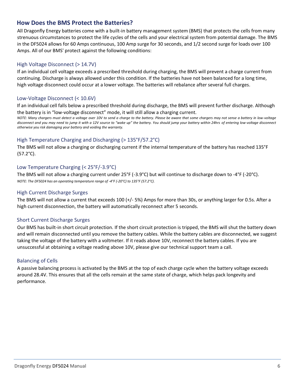## **How Does the BMS Protect the Batteries?**

All Dragonfly Energy batteries come with a built-in battery management system (BMS) that protects the cells from many strenuous circumstances to protect the life cycles of the cells and your electrical system from potential damage. The BMS in the DF5024 allows for 60 Amps continuous, 100 Amp surge for 30 seconds, and 1/2 second surge for loads over 100 Amps. All of our BMS' protect against the following conditions:

#### High Voltage Disconnect (> 14.7V)

If an individual cell voltage exceeds a prescribed threshold during charging, the BMS will prevent a charge current from continuing. Discharge is always allowed under this condition. If the batteries have not been balanced for a long time, high voltage disconnect could occur at a lower voltage. The batteries will rebalance after several full charges.

#### Low-Voltage Disconnect (< 10.6V)

If an individual cell falls below a prescribed threshold during discharge, the BMS will prevent further discharge. Although the battery is in "low-voltage disconnect" mode, it will still allow a charging current.

*NOTE: Many chargers must detect a voltage over 10V to send a charge to the battery. Please be aware that some chargers may not sense a battery in low-voltage disconnect and you may need to jump it with a 12V source to "wake up" the battery. You should jump your battery within 24hrs of entering low-voltage disconnect otherwise you risk damaging your battery and voiding the warranty.* 

#### High Temperature Charging and Discharging (> 135°F/57.2°C)

The BMS will not allow a charging or discharging current if the internal temperature of the battery has reached 135°F (57.2°C).

#### Low Temperature Charging (< 25°F/-3.9°C)

The BMS will not allow a charging current under 25°F (-3.9°C) but will continue to discharge down to -4°F (-20°C). *NOTE: The DF5024 has an operating temperature range of -4°F (-20°C) to 135°F (57.2°C).*

#### High Current Discharge Surges

The BMS will not allow a current that exceeds 100 (+/- 5%) Amps for more than 30s, or anything larger for 0.5s. After a high current disconnection, the battery will automatically reconnect after 5 seconds.

#### Short Current Discharge Surges

Our BMS has built-in short circuit protection. If the short circuit protection is tripped, the BMS will shut the battery down and will remain disconnected until you remove the battery cables. While the battery cables are disconnected, we suggest taking the voltage of the battery with a voltmeter. If it reads above 10V, reconnect the battery cables. If you are unsuccessful at obtaining a voltage reading above 10V, please give our technical support team a call.

#### Balancing of Cells

A passive balancing process is activated by the BMS at the top of each charge cycle when the battery voltage exceeds around 28.4V. This ensures that all the cells remain at the same state of charge, which helps pack longevity and performance.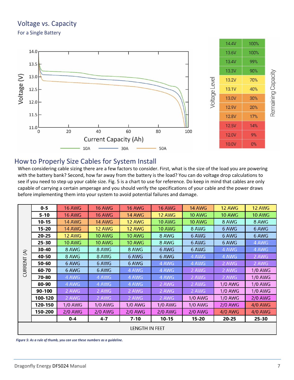## Voltage vs. Capacity

For a Single Battery



## How to Properly Size Cables for System Install

When considering cable sizing there are a few factors to consider. First, what is the size of the load you are powering with the battery bank? Second, how far away from the battery is the load? You can do voltage drop calculations to see if you need to step up your cable size. Fig. 5 is a chart to use for reference. Do keep in mind that cables are only capable of carrying a certain amperage and you should verify the specifications of your cable and the power draws before implementing them into your system to avoid potential failures and damage.

|                           | $0 - 5$   | <b>16 AWG</b>  | <b>16 AWG</b>  | <b>16 AWG</b> | <b>16 AWG</b>  | <b>14 AWG</b>  | <b>12 AWG</b>  | <b>12 AWG</b>  |  |
|---------------------------|-----------|----------------|----------------|---------------|----------------|----------------|----------------|----------------|--|
| $\mathfrak{S}$<br>CURRENT | $5 - 10$  | <b>16 AWG</b>  | <b>16 AWG</b>  | <b>14 AWG</b> | <b>12 AWG</b>  | <b>10 AWG</b>  | <b>10 AWG</b>  | <b>10 AWG</b>  |  |
|                           | $10 - 15$ | <b>14 AWG</b>  | 14 AWG         | 12 AWG        | <b>10 AWG</b>  | <b>10 AWG</b>  | 8 AWG          | 8 AWG          |  |
|                           | $15 - 20$ | <b>14 AWG</b>  | <b>12 AWG</b>  | 12 AWG        | <b>10 AWG</b>  | 8 AWG          | 6 AWG          | 6 AWG          |  |
|                           | $20 - 25$ | 12 AWG         | <b>10 AWG</b>  | <b>10 AWG</b> | 8 AWG          | 6 AWG          | 6 AWG          | 6 AWG          |  |
|                           | $25 - 30$ | <b>10 AWG</b>  | 10 AWG         | <b>10 AWG</b> | 8 AWG          | 6 AWG          | 6 AWG          | 4 AWG          |  |
|                           | 30-40     | 8 AWG          | 8 AWG          | 8 AWG         | 6 AWG          | 6 AWG          | 4 AWG          | 4 AWG          |  |
|                           | 40-50     | 8 AWG          | 8 AWG          | 6 AWG         | 6 AWG          | 4 AWG          | 4 AWG          | 2 AWG          |  |
|                           | 50-60     | 6 AWG          | 6 AWG          | 6 AWG         | 4 AWG          | 4 AWG          | 2 AWG          | 2 AWG          |  |
|                           | 60-70     | 6 AWG          | 6 AWG          | 4 AWG         | 4 AWG          | 2 AWG          | 2 AWG          | <b>1/0 AWG</b> |  |
|                           | 70-80     | 4 AWG          | 4 AWG          | 4 AWG         | 4 AWG          | 2 AWG          | 2 AWG          | <b>1/0 AWG</b> |  |
|                           | 80-90     | 4 AWG          | 4 AWG          | 4 AWG         | 2 AWG          | 2 AWG          | <b>1/0 AWG</b> | <b>1/0 AWG</b> |  |
|                           | 90-100    | 2 AWG          | 2 AWG          | 2 AWG         | 2 AWG          | 2 AWG          | <b>1/0 AWG</b> | <b>1/0 AWG</b> |  |
|                           | 100-120   | 2 AWG          | 2 AWG          | 2 AWG         | 2 AWG          | <b>1/0 AWG</b> | <b>1/0 AWG</b> | $2/0$ AWG      |  |
|                           | 120-150   | <b>1/0 AWG</b> | <b>1/0 AWG</b> | 1/0 AWG       | <b>1/0 AWG</b> | <b>1/0 AWG</b> | $2/0$ AWG      | <b>4/0 AWG</b> |  |
|                           | 150-200   | <b>2/0 AWG</b> | <b>2/0 AWG</b> | $2/0$ AWG     | <b>2/0 AWG</b> | $2/0$ AWG      | <b>4/0 AWG</b> | <b>4/0 AWG</b> |  |
|                           |           | $0 - 4$        | $4 - 7$        | $7 - 10$      | $10 - 15$      | $15 - 20$      | $20 - 25$      | $25 - 30$      |  |
| LENGTH IN FEET            |           |                |                |               |                |                |                |                |  |

 *Figure 5: As a rule of thumb, you can use these numbers as a guideline.*